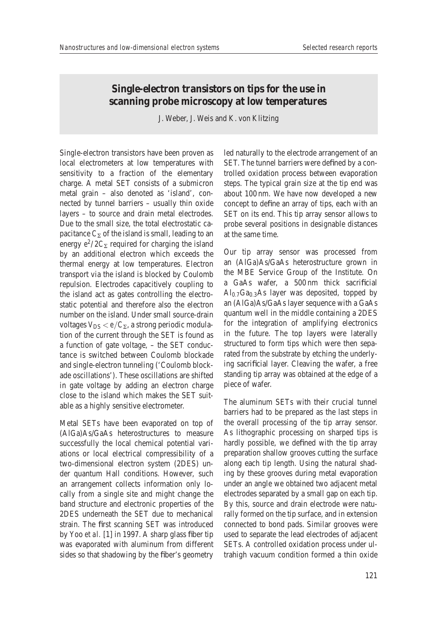## **Single-electron transistors on tips for the use in scanning probe microscopy at low temperatures**

J. Weber, J. Weis and K. von Klitzing

Single-electron transistors have been proven as local electrometers at low temperatures with sensitivity to a fraction of the elementary charge. A metal SET consists of a submicron metal grain – also denoted as 'island', connected by tunnel barriers – usually thin oxide layers – to source and drain metal electrodes. Due to the small size, the total electrostatic capacitance  $C_{\Sigma}$  of the island is small, leading to an energy  $e^2/2C_{\Sigma}$  required for charging the island by an additional electron which exceeds the thermal energy at low temperatures. Electron transport via the island is blocked by Coulomb repulsion. Electrodes capacitively coupling to the island act as gates controlling the electrostatic potential and therefore also the electron number on the island. Under small source-drain voltages  $V_{DS} < e/C_{\Sigma}$ , a strong periodic modulation of the current through the SET is found as a function of gate voltage, – the SET conductance is switched between Coulomb blockade and single-electron tunneling ('Coulomb blockade oscillations'). These oscillations are shifted in gate voltage by adding an electron charge close to the island which makes the SET suitable as a highly sensitive electrometer.

Metal SETs have been evaporated on top of (AlGa)As/GaAs heterostructures to measure successfully the local chemical potential variations or local electrical compressibility of a two-dimensional electron system (2DES) under quantum Hall conditions. However, such an arrangement collects information only locally from a single site and might change the band structure and electronic properties of the 2DES underneath the SET due to mechanical strain. The first scanning SET was introduced by Yoo *et al.* [1] in 1997. A sharp glass fiber tip was evaporated with aluminum from different sides so that shadowing by the fiber's geometry

led naturally to the electrode arrangement of an SET. The tunnel barriers were defined by a controlled oxidation process between evaporation steps. The typical grain size at the tip end was about 100 nm. We have now developed a new concept to define an array of tips, each with an SET on its end. This tip array sensor allows to probe several positions in designable distances at the same time.

Our tip array sensor was processed from an (AlGa)As/GaAs heterostructure grown in the MBE Service Group of the Institute. On a GaAs wafer, a 500 nm thick sacrificial  $Al<sub>0.7</sub>Ga<sub>0.3</sub>As layer was deposited, topped by$ an (AlGa)As/GaAs layer sequence with a GaAs quantum well in the middle containing a 2DES for the integration of amplifying electronics in the future. The top layers were laterally structured to form tips which were then separated from the substrate by etching the underlying sacrificial layer. Cleaving the wafer, a free standing tip array was obtained at the edge of a piece of wafer.

The aluminum SETs with their crucial tunnel barriers had to be prepared as the last steps in the overall processing of the tip array sensor. As lithographic processing on sharped tips is hardly possible, we defined with the tip array preparation shallow grooves cutting the surface along each tip length. Using the natural shading by these grooves during metal evaporation under an angle we obtained two adjacent metal electrodes separated by a small gap on each tip. By this, source and drain electrode were naturally formed on the tip surface, and in extension connected to bond pads. Similar grooves were used to separate the lead electrodes of adjacent SETs. A controlled oxidation process under ultrahigh vacuum condition formed a thin oxide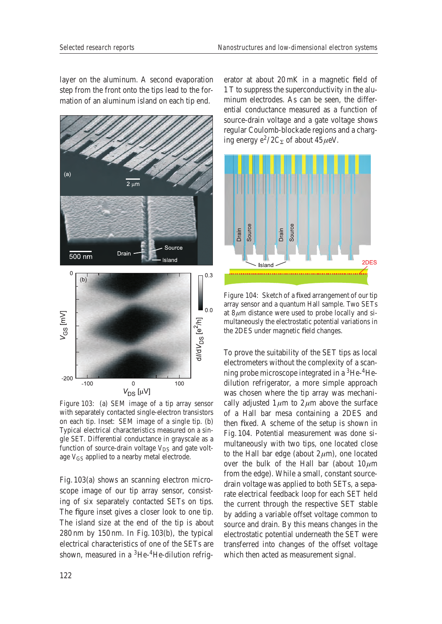layer on the aluminum. A second evaporation step from the front onto the tips lead to the formation of an aluminum island on each tip end.



Figure 103: (a) SEM image of a tip array sensor with separately contacted single-electron transistors on each tip. Inset: SEM image of a single tip. (b) Typical electrical characteristics measured on a single SET. Differential conductance in grayscale as a function of source-drain voltage  $V_{DS}$  and gate voltage  $V_{GS}$  applied to a nearby metal electrode.

Fig. 103(a) shows an scanning electron microscope image of our tip array sensor, consisting of six separately contacted SETs on tips. The figure inset gives a closer look to one tip. The island size at the end of the tip is about 280 nm by 150 nm. In Fig. 103(b), the typical electrical characteristics of one of the SETs are shown, measured in a  ${}^{3}$ He- ${}^{4}$ He-dilution refrigerator at about 20 mK in a magnetic field of 1 T to suppress the superconductivity in the aluminum electrodes. As can be seen, the differential conductance measured as a function of source-drain voltage and a gate voltage shows regular Coulomb-blockade regions and a charging energy  $e^2/2C_{\Sigma}$  of about  $45 \mu$ eV.



Figure 104: Sketch of a fixed arrangement of our tip array sensor and a quantum Hall sample. Two SETs at 8 *μ*m distance were used to probe locally and simultaneously the electrostatic potential variations in the 2DES under magnetic field changes.

To prove the suitability of the SET tips as local electrometers without the complexity of a scanning probe microscope integrated in a 3He-4Hedilution refrigerator, a more simple approach was chosen where the tip array was mechanically adjusted  $1 \mu m$  to  $2 \mu m$  above the surface of a Hall bar mesa containing a 2DES and then fixed. A scheme of the setup is shown in Fig. 104. Potential measurement was done simultaneously with two tips, one located close to the Hall bar edge (about  $2 \mu m$ ), one located over the bulk of the Hall bar (about  $10 \mu m$ from the edge). While a small, constant sourcedrain voltage was applied to both SETs, a separate electrical feedback loop for each SET held the current through the respective SET stable by adding a variable offset voltage common to source and drain. By this means changes in the electrostatic potential underneath the SET were transferred into changes of the offset voltage which then acted as measurement signal.